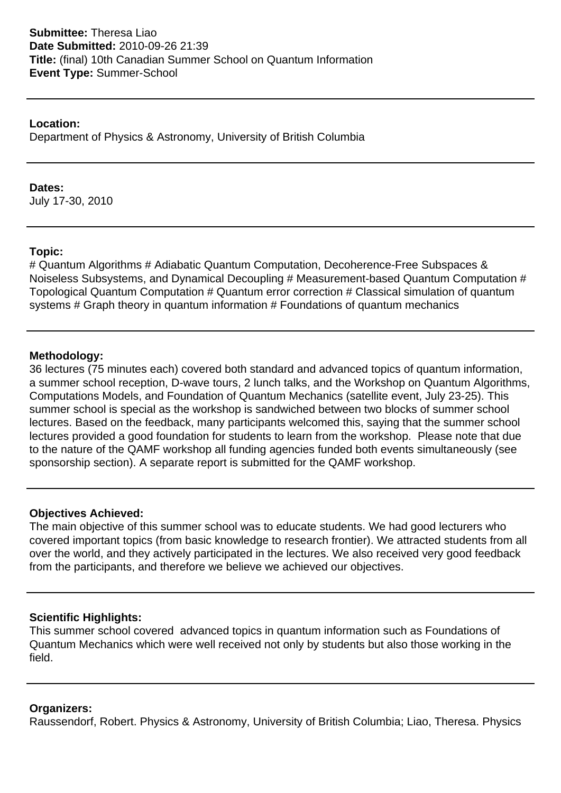#### **Location:**

Department of Physics & Astronomy, University of British Columbia

#### **Dates:**

July 17-30, 2010

#### **Topic:**

# Quantum Algorithms # Adiabatic Quantum Computation, Decoherence-Free Subspaces & Noiseless Subsystems, and Dynamical Decoupling # Measurement-based Quantum Computation # Topological Quantum Computation # Quantum error correction # Classical simulation of quantum systems # Graph theory in quantum information # Foundations of quantum mechanics

#### **Methodology:**

36 lectures (75 minutes each) covered both standard and advanced topics of quantum information, a summer school reception, D-wave tours, 2 lunch talks, and the Workshop on Quantum Algorithms, Computations Models, and Foundation of Quantum Mechanics (satellite event, July 23-25). This summer school is special as the workshop is sandwiched between two blocks of summer school lectures. Based on the feedback, many participants welcomed this, saying that the summer school lectures provided a good foundation for students to learn from the workshop. Please note that due to the nature of the QAMF workshop all funding agencies funded both events simultaneously (see sponsorship section). A separate report is submitted for the QAMF workshop.

#### **Objectives Achieved:**

The main objective of this summer school was to educate students. We had good lecturers who covered important topics (from basic knowledge to research frontier). We attracted students from all over the world, and they actively participated in the lectures. We also received very good feedback from the participants, and therefore we believe we achieved our objectives.

#### **Scientific Highlights:**

This summer school covered advanced topics in quantum information such as Foundations of Quantum Mechanics which were well received not only by students but also those working in the field.

#### **Organizers:**

Raussendorf, Robert. Physics & Astronomy, University of British Columbia; Liao, Theresa. Physics